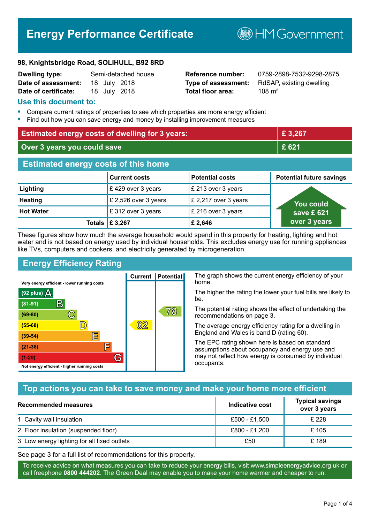# **Energy Performance Certificate**

**B**HM Government

#### **98, Knightsbridge Road, SOLIHULL, B92 8RD**

| <b>Dwelling type:</b> |  | Semi-detached house |
|-----------------------|--|---------------------|
| Date of assessment:   |  | 18 July 2018        |
| Date of certificate:  |  | 18 July 2018        |

# **Total floor area:** 108 m<sup>2</sup>

**Reference number:** 0759-2898-7532-9298-2875 **Type of assessment:** RdSAP, existing dwelling

#### **Use this document to:**

- **•** Compare current ratings of properties to see which properties are more energy efficient
- **•** Find out how you can save energy and money by installing improvement measures

| <b>Estimated energy costs of dwelling for 3 years:</b> |                           |                        | £ 3,267                         |
|--------------------------------------------------------|---------------------------|------------------------|---------------------------------|
| Over 3 years you could save                            |                           |                        | £ 621                           |
| <b>Estimated energy costs of this home</b>             |                           |                        |                                 |
|                                                        | <b>Current costs</b>      | <b>Potential costs</b> | <b>Potential future savings</b> |
| Lighting                                               | £429 over 3 years         | £ 213 over 3 years     |                                 |
| <b>Heating</b>                                         | £ 2,526 over 3 years      | £ 2,217 over 3 years   | You could                       |
| <b>Hot Water</b>                                       | £312 over 3 years         | £ 216 over 3 years     | save £621                       |
|                                                        | Totals $\mathsf{E}$ 3,267 | £ 2,646                | over 3 years                    |

These figures show how much the average household would spend in this property for heating, lighting and hot water and is not based on energy used by individual households. This excludes energy use for running appliances like TVs, computers and cookers, and electricity generated by microgeneration.

**Current | Potential** 

62

# **Energy Efficiency Rating**

 $\mathbb{C}$ 

 $\mathbb{D}$ 

E

庐

G

Very energy efficient - lower running costs

 $\mathsf{R}% _{T}$ 

Not energy efficient - higher running costs

 $(92$  plus)

 $(81 - 91)$ 

 $(69 - 80)$ 

 $(55-68)$ 

 $(39 - 54)$ 

 $(21-38)$ 

 $(1-20)$ 

- 70

The graph shows the current energy efficiency of your home.

The higher the rating the lower your fuel bills are likely to be.

The potential rating shows the effect of undertaking the recommendations on page 3.

The average energy efficiency rating for a dwelling in England and Wales is band D (rating 60).

The EPC rating shown here is based on standard assumptions about occupancy and energy use and may not reflect how energy is consumed by individual occupants.

# **Top actions you can take to save money and make your home more efficient**

78

| <b>Recommended measures</b>                 | Indicative cost | <b>Typical savings</b><br>over 3 years |
|---------------------------------------------|-----------------|----------------------------------------|
| 1 Cavity wall insulation                    | £500 - £1,500   | £ 228                                  |
| 2 Floor insulation (suspended floor)        | £800 - £1,200   | £105                                   |
| 3 Low energy lighting for all fixed outlets | £50             | £189                                   |

See page 3 for a full list of recommendations for this property.

To receive advice on what measures you can take to reduce your energy bills, visit www.simpleenergyadvice.org.uk or call freephone **0800 444202**. The Green Deal may enable you to make your home warmer and cheaper to run.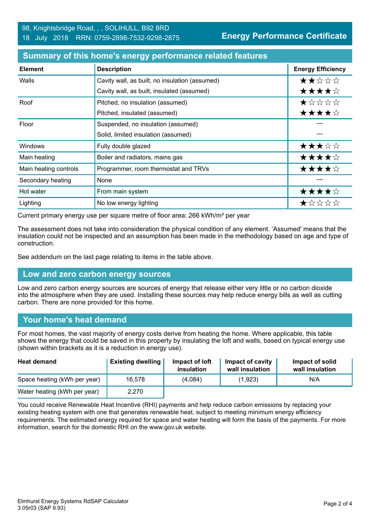| <b>Element</b>        | <b>Description</b>                             | <b>Energy Efficiency</b> |
|-----------------------|------------------------------------------------|--------------------------|
| Walls                 | Cavity wall, as built, no insulation (assumed) | ★★☆☆☆                    |
|                       | Cavity wall, as built, insulated (assumed)     | ★★★★☆                    |
| Roof                  | Pitched, no insulation (assumed)               | $\star$ * * * *          |
|                       | Pitched, insulated (assumed)                   | ★★★★☆                    |
| Floor                 | Suspended, no insulation (assumed)             |                          |
|                       | Solid, limited insulation (assumed)            |                          |
| Windows               | Fully double glazed                            | ★★★☆☆                    |
| Main heating          | Boiler and radiators, mains gas                | ★★★★☆                    |
| Main heating controls | Programmer, room thermostat and TRVs           | ★★★★☆                    |
| Secondary heating     | None                                           |                          |
| Hot water             | From main system                               | ★★★★☆                    |
| Lighting              | No low energy lighting                         | *****                    |

#### **Summary of this home's energy performance related features**

Current primary energy use per square metre of floor area: 266 kWh/m² per year

The assessment does not take into consideration the physical condition of any element. 'Assumed' means that the insulation could not be inspected and an assumption has been made in the methodology based on age and type of construction.

See addendum on the last page relating to items in the table above.

# **Low and zero carbon energy sources**

Low and zero carbon energy sources are sources of energy that release either very little or no carbon dioxide into the atmosphere when they are used. Installing these sources may help reduce energy bills as well as cutting carbon. There are none provided for this home.

#### **Your home's heat demand**

For most homes, the vast majority of energy costs derive from heating the home. Where applicable, this table shows the energy that could be saved in this property by insulating the loft and walls, based on typical energy use (shown within brackets as it is a reduction in energy use).

| <b>Heat demand</b>           | <b>Existing dwelling</b> | Impact of loft<br>insulation | Impact of cavity<br>wall insulation | Impact of solid<br>wall insulation |
|------------------------------|--------------------------|------------------------------|-------------------------------------|------------------------------------|
| Space heating (kWh per year) | 16.578                   | (4,084)                      | (1,923)                             | N/A                                |
| Water heating (kWh per year) | 2.270                    |                              |                                     |                                    |

You could receive Renewable Heat Incentive (RHI) payments and help reduce carbon emissions by replacing your existing heating system with one that generates renewable heat, subject to meeting minimum energy efficiency requirements. The estimated energy required for space and water heating will form the basis of the payments. For more information, search for the domestic RHI on the www.gov.uk website.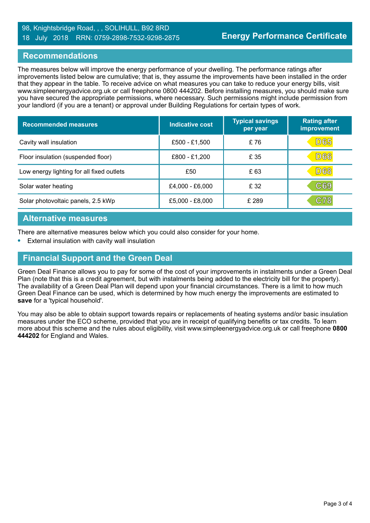#### 98, Knightsbridge Road, , , SOLIHULL, B92 8RD 18 July 2018 RRN: 0759-2898-7532-9298-2875

#### **Recommendations**

The measures below will improve the energy performance of your dwelling. The performance ratings after improvements listed below are cumulative; that is, they assume the improvements have been installed in the order that they appear in the table. To receive advice on what measures you can take to reduce your energy bills, visit www.simpleenergyadvice.org.uk or call freephone 0800 444202. Before installing measures, you should make sure you have secured the appropriate permissions, where necessary. Such permissions might include permission from your landlord (if you are a tenant) or approval under Building Regulations for certain types of work.

| <b>Recommended measures</b>               | <b>Indicative cost</b> | <b>Typical savings</b><br>per year | <b>Rating after</b><br>improvement |
|-------------------------------------------|------------------------|------------------------------------|------------------------------------|
| Cavity wall insulation                    | £500 - £1,500          | £76                                | <b>D65</b>                         |
| Floor insulation (suspended floor)        | £800 - £1,200          | £ 35                               | <b>D66</b>                         |
| Low energy lighting for all fixed outlets | £50                    | £ 63                               | <b>D68</b>                         |
| Solar water heating                       | £4,000 - £6,000        | £32                                | C69                                |
| Solar photovoltaic panels, 2.5 kWp        | £5,000 - £8,000        | £ 289                              | $\mathbb{C}78$                     |

#### **Alternative measures**

There are alternative measures below which you could also consider for your home.

**•** External insulation with cavity wall insulation

# **Financial Support and the Green Deal**

Green Deal Finance allows you to pay for some of the cost of your improvements in instalments under a Green Deal Plan (note that this is a credit agreement, but with instalments being added to the electricity bill for the property). The availability of a Green Deal Plan will depend upon your financial circumstances. There is a limit to how much Green Deal Finance can be used, which is determined by how much energy the improvements are estimated to **save** for a 'typical household'.

You may also be able to obtain support towards repairs or replacements of heating systems and/or basic insulation measures under the ECO scheme, provided that you are in receipt of qualifying benefits or tax credits. To learn more about this scheme and the rules about eligibility, visit www.simpleenergyadvice.org.uk or call freephone **0800 444202** for England and Wales.